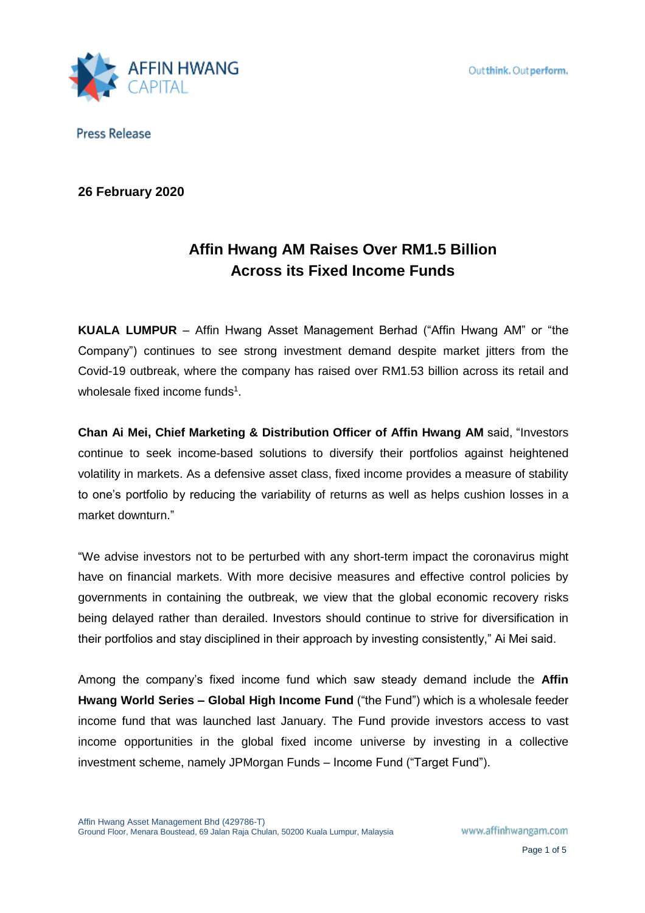

**26 February 2020**

# **Affin Hwang AM Raises Over RM1.5 Billion Across its Fixed Income Funds**

**KUALA LUMPUR** – Affin Hwang Asset Management Berhad ("Affin Hwang AM" or "the Company") continues to see strong investment demand despite market jitters from the Covid-19 outbreak, where the company has raised over RM1.53 billion across its retail and wholesale fixed income funds<sup>1</sup>.

**Chan Ai Mei, Chief Marketing & Distribution Officer of Affin Hwang AM** said, "Investors continue to seek income-based solutions to diversify their portfolios against heightened volatility in markets. As a defensive asset class, fixed income provides a measure of stability to one's portfolio by reducing the variability of returns as well as helps cushion losses in a market downturn."

"We advise investors not to be perturbed with any short-term impact the coronavirus might have on financial markets. With more decisive measures and effective control policies by governments in containing the outbreak, we view that the global economic recovery risks being delayed rather than derailed. Investors should continue to strive for diversification in their portfolios and stay disciplined in their approach by investing consistently," Ai Mei said.

Among the company's fixed income fund which saw steady demand include the **Affin Hwang World Series – Global High Income Fund** ("the Fund") which is a wholesale feeder income fund that was launched last January. The Fund provide investors access to vast income opportunities in the global fixed income universe by investing in a collective investment scheme, namely JPMorgan Funds – Income Fund ("Target Fund").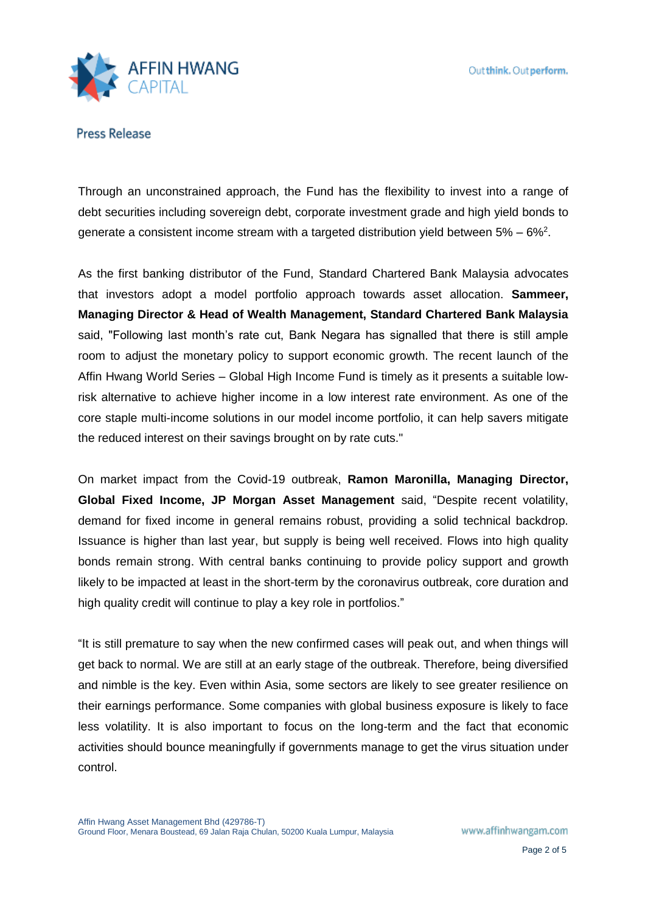

Through an unconstrained approach, the Fund has the flexibility to invest into a range of debt securities including sovereign debt, corporate investment grade and high yield bonds to generate a consistent income stream with a targeted distribution yield between 5% – 6%<sup>2</sup>.

As the first banking distributor of the Fund, Standard Chartered Bank Malaysia advocates that investors adopt a model portfolio approach towards asset allocation. **Sammeer, Managing Director & Head of Wealth Management, Standard Chartered Bank Malaysia** said, "Following last month's rate cut, Bank Negara has signalled that there is still ample room to adjust the monetary policy to support economic growth. The recent launch of the Affin Hwang World Series – Global High Income Fund is timely as it presents a suitable lowrisk alternative to achieve higher income in a low interest rate environment. As one of the core staple multi-income solutions in our model income portfolio, it can help savers mitigate the reduced interest on their savings brought on by rate cuts."

On market impact from the Covid-19 outbreak, **Ramon Maronilla, Managing Director, Global Fixed Income, JP Morgan Asset Management** said, "Despite recent volatility, demand for fixed income in general remains robust, providing a solid technical backdrop. Issuance is higher than last year, but supply is being well received. Flows into high quality bonds remain strong. With central banks continuing to provide policy support and growth likely to be impacted at least in the short-term by the coronavirus outbreak, core duration and high quality credit will continue to play a key role in portfolios."

"It is still premature to say when the new confirmed cases will peak out, and when things will get back to normal. We are still at an early stage of the outbreak. Therefore, being diversified and nimble is the key. Even within Asia, some sectors are likely to see greater resilience on their earnings performance. Some companies with global business exposure is likely to face less volatility. It is also important to focus on the long-term and the fact that economic activities should bounce meaningfully if governments manage to get the virus situation under control.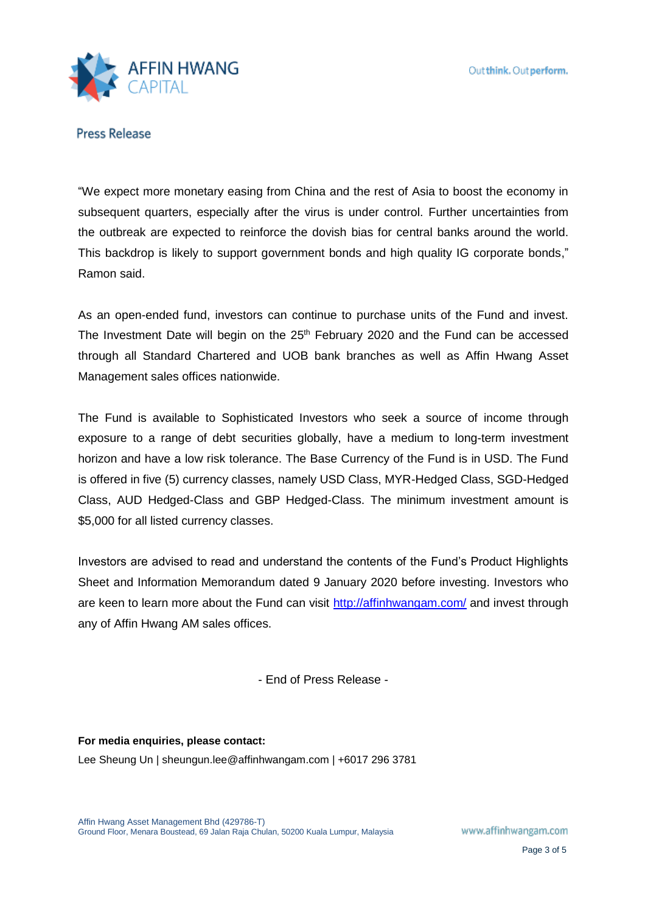

"We expect more monetary easing from China and the rest of Asia to boost the economy in subsequent quarters, especially after the virus is under control. Further uncertainties from the outbreak are expected to reinforce the dovish bias for central banks around the world. This backdrop is likely to support government bonds and high quality IG corporate bonds," Ramon said.

As an open-ended fund, investors can continue to purchase units of the Fund and invest. The Investment Date will begin on the  $25<sup>th</sup>$  February 2020 and the Fund can be accessed through all Standard Chartered and UOB bank branches as well as Affin Hwang Asset Management sales offices nationwide.

The Fund is available to Sophisticated Investors who seek a source of income through exposure to a range of debt securities globally, have a medium to long-term investment horizon and have a low risk tolerance. The Base Currency of the Fund is in USD. The Fund is offered in five (5) currency classes, namely USD Class, MYR-Hedged Class, SGD-Hedged Class, AUD Hedged-Class and GBP Hedged-Class. The minimum investment amount is \$5,000 for all listed currency classes.

Investors are advised to read and understand the contents of the Fund's Product Highlights Sheet and Information Memorandum dated 9 January 2020 before investing. Investors who are keen to learn more about the Fund can visit<http://affinhwangam.com/> and invest through any of Affin Hwang AM sales offices.

- End of Press Release -

**For media enquiries, please contact:**  Lee Sheung Un | sheungun.lee@affinhwangam.com | +6017 296 3781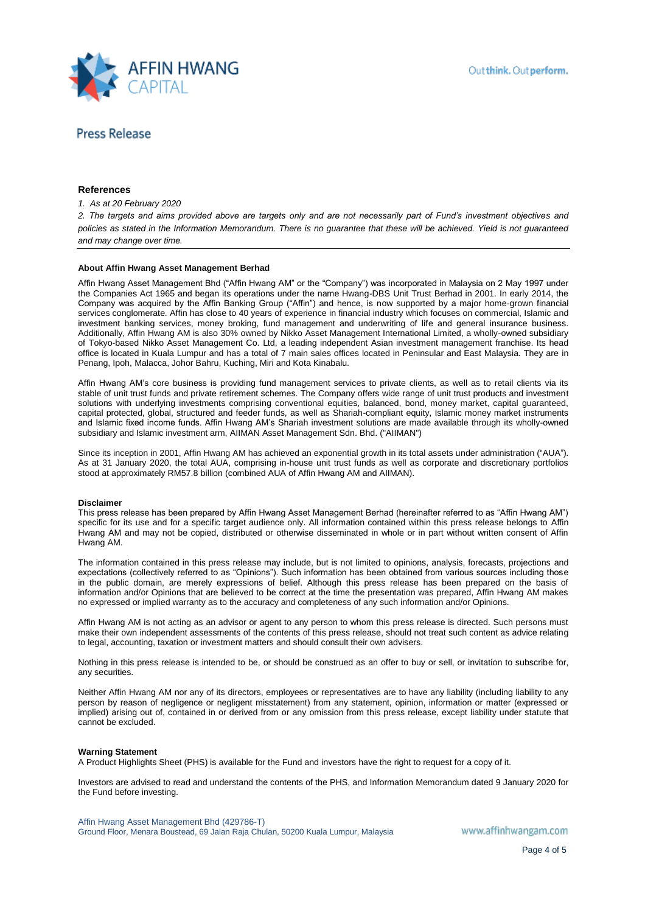

### **References**

#### *1. As at 20 February 2020*

*2. The targets and aims provided above are targets only and are not necessarily part of Fund's investment objectives and policies as stated in the Information Memorandum. There is no guarantee that these will be achieved. Yield is not guaranteed and may change over time.*

#### **About Affin Hwang Asset Management Berhad**

Affin Hwang Asset Management Bhd ("Affin Hwang AM" or the "Company") was incorporated in Malaysia on 2 May 1997 under the Companies Act 1965 and began its operations under the name Hwang-DBS Unit Trust Berhad in 2001. In early 2014, the Company was acquired by the Affin Banking Group ("Affin") and hence, is now supported by a major home-grown financial services conglomerate. Affin has close to 40 years of experience in financial industry which focuses on commercial, Islamic and investment banking services, money broking, fund management and underwriting of life and general insurance business. Additionally, Affin Hwang AM is also 30% owned by Nikko Asset Management International Limited, a wholly-owned subsidiary of Tokyo-based Nikko Asset Management Co. Ltd, a leading independent Asian investment management franchise. Its head office is located in Kuala Lumpur and has a total of 7 main sales offices located in Peninsular and East Malaysia. They are in Penang, Ipoh, Malacca, Johor Bahru, Kuching, Miri and Kota Kinabalu.

Affin Hwang AM's core business is providing fund management services to private clients, as well as to retail clients via its stable of unit trust funds and private retirement schemes. The Company offers wide range of unit trust products and investment solutions with underlying investments comprising conventional equities, balanced, bond, money market, capital guaranteed, capital protected, global, structured and feeder funds, as well as Shariah-compliant equity, Islamic money market instruments and Islamic fixed income funds. Affin Hwang AM's Shariah investment solutions are made available through its wholly-owned subsidiary and Islamic investment arm, AIIMAN Asset Management Sdn. Bhd. ("AIIMAN")

Since its inception in 2001, Affin Hwang AM has achieved an exponential growth in its total assets under administration ("AUA"). As at 31 January 2020, the total AUA, comprising in-house unit trust funds as well as corporate and discretionary portfolios stood at approximately RM57.8 billion (combined AUA of Affin Hwang AM and AIIMAN).

#### **Disclaimer**

This press release has been prepared by Affin Hwang Asset Management Berhad (hereinafter referred to as "Affin Hwang AM") specific for its use and for a specific target audience only. All information contained within this press release belongs to Affin Hwang AM and may not be copied, distributed or otherwise disseminated in whole or in part without written consent of Affin Hwang AM.

The information contained in this press release may include, but is not limited to opinions, analysis, forecasts, projections and expectations (collectively referred to as "Opinions"). Such information has been obtained from various sources including those in the public domain, are merely expressions of belief. Although this press release has been prepared on the basis of information and/or Opinions that are believed to be correct at the time the presentation was prepared, Affin Hwang AM makes no expressed or implied warranty as to the accuracy and completeness of any such information and/or Opinions.

Affin Hwang AM is not acting as an advisor or agent to any person to whom this press release is directed. Such persons must make their own independent assessments of the contents of this press release, should not treat such content as advice relating to legal, accounting, taxation or investment matters and should consult their own advisers.

Nothing in this press release is intended to be, or should be construed as an offer to buy or sell, or invitation to subscribe for, any securities.

Neither Affin Hwang AM nor any of its directors, employees or representatives are to have any liability (including liability to any person by reason of negligence or negligent misstatement) from any statement, opinion, information or matter (expressed or implied) arising out of, contained in or derived from or any omission from this press release, except liability under statute that cannot be excluded.

#### **Warning Statement**

A Product Highlights Sheet (PHS) is available for the Fund and investors have the right to request for a copy of it.

Investors are advised to read and understand the contents of the PHS, and Information Memorandum dated 9 January 2020 for the Fund before investing.

Affin Hwang Asset Management Bhd (429786-T) Ground Floor, Menara Boustead, 69 Jalan Raja Chulan, 50200 Kuala Lumpur, Malaysia